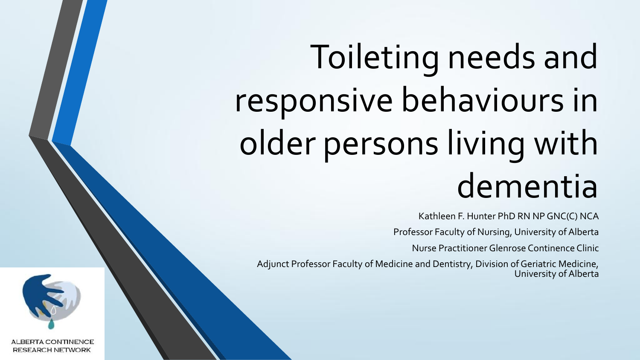# Toileting needs and responsive behaviours in older persons living with dementia

Kathleen F. Hunter PhD RN NP GNC(C) NCA

Professor Faculty of Nursing, University of Alberta

Nurse Practitioner Glenrose Continence Clinic

Adjunct Professor Faculty of Medicine and Dentistry, Division of Geriatric Medicine, University of Alberta



**ALBERTA CONTINENCE RESEARCH NETWORK**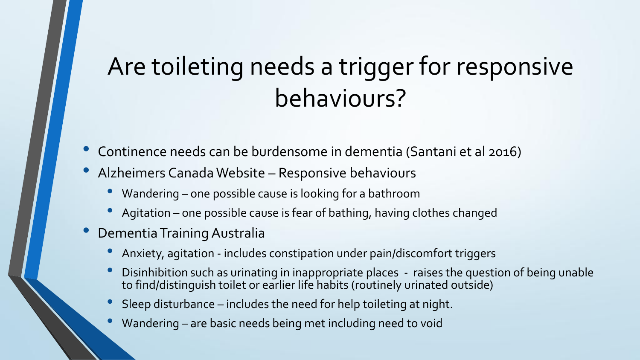## Are toileting needs a trigger for responsive behaviours?

- Continence needs can be burdensome in dementia (Santani et al 2016)
- Alzheimers Canada Website Responsive behaviours
	- Wandering one possible cause is looking for a bathroom
	- Agitation one possible cause is fear of bathing, having clothes changed
- Dementia Training Australia
	- Anxiety, agitation includes constipation under pain/discomfort triggers
	- Disinhibition such as urinating in inappropriate places raises the question of being unable to find/distinguish toilet or earlier life habits (routinely urinated outside)
	- Sleep disturbance includes the need for help toileting at night.
	- Wandering are basic needs being met including need to void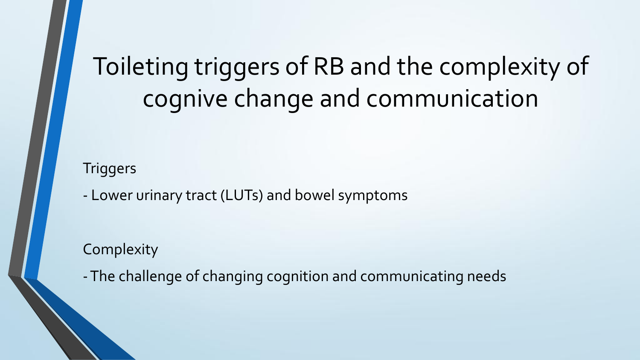## Toileting triggers of RB and the complexity of cognive change and communication

### **Triggers**

- Lower urinary tract (LUTs) and bowel symptoms

**Complexity** 

-The challenge of changing cognition and communicating needs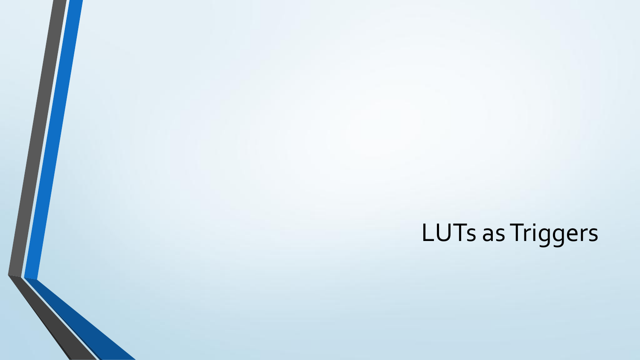# LUTs as Triggers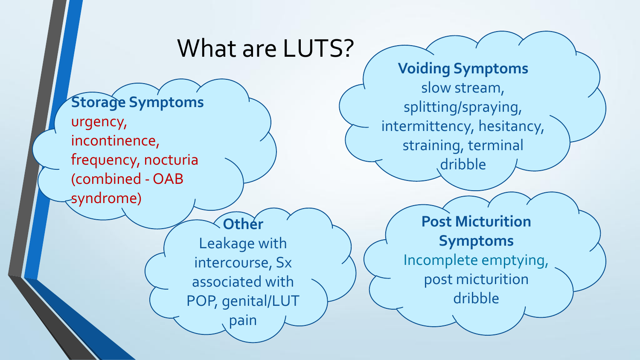### What are LUTS? **Storage Symptoms** urgency, incontinence, frequency, nocturia (combined - OAB syndrome) **Voiding Symptoms** slow stream, splitting/spraying, intermittency, hesitancy, straining, terminal dribble **Post Micturition Symptoms** Incomplete emptying, post micturition dribble **Other** Leakage with intercourse, Sx associated with POP, genital/LUT pain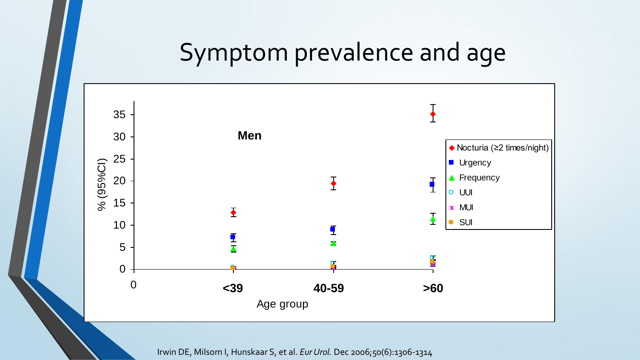## Symptom prevalence and age



Irwin DE, Milsom I, Hunskaar S, et al. *EurUrol.* Dec 2006;50(6):1306-1314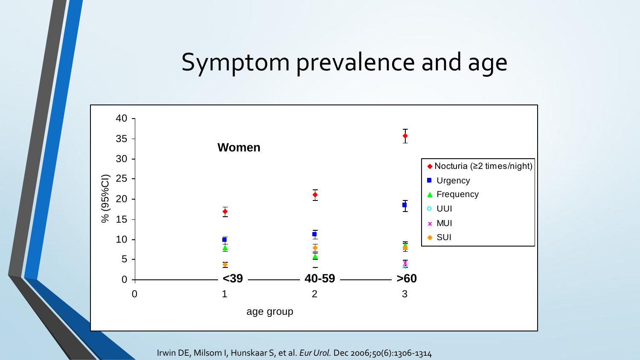## Symptom prevalence and age



Irwin DE, Milsom I, Hunskaar S, et al. *Eur Urol.* Dec 2006;50(6):1306-1314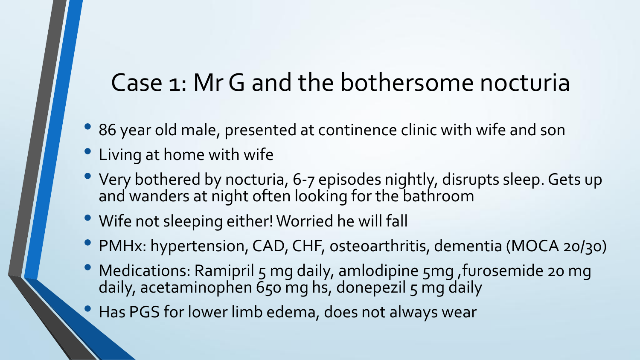## Case 1: MrG and the bothersome nocturia

- 86 year old male, presented at continence clinic with wife and son
- Living at home with wife
- Very bothered by nocturia, 6-7 episodes nightly, disrupts sleep. Gets up and wanders at night often looking for the bathroom
- Wife not sleeping either! Worried he will fall
- PMHx: hypertension, CAD, CHF, osteoarthritis, dementia (MOCA 20/30)
- Medications: Ramipril 5 mg daily, amlodipine 5mg , furosemide 20 mg daily, acetaminophen 650 mg hs, donepezil 5 mg daily
- Has PGS for lower limb edema, does not always wear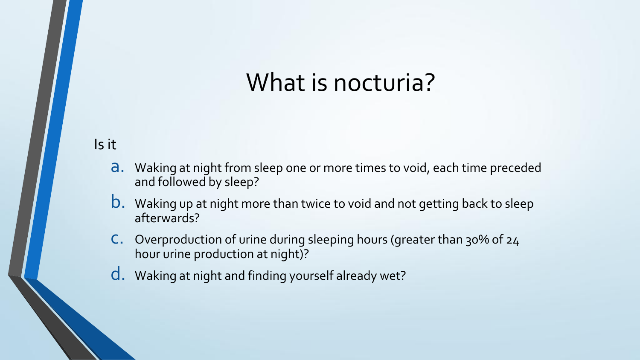## What is nocturia?

Is it

- a. Waking at night from sleep one or more times to void, each time preceded and followed by sleep?
- b. Waking up at night more than twice to void and not getting back to sleep afterwards?
- c. Overproduction of urine during sleeping hours (greater than 30% of 24 hour urine production at night)?
- d. Waking at night and finding yourself already wet?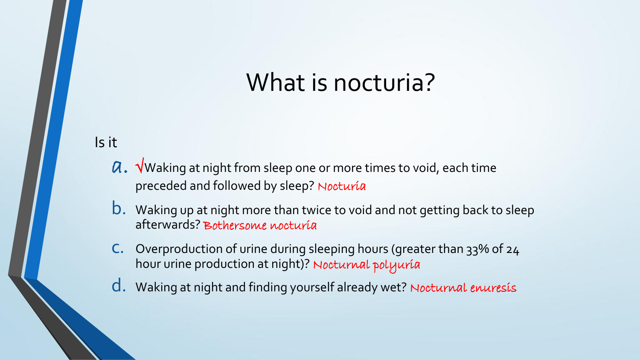## What is nocturia?

## Is it

- $a. \sqrt{a}$  waking at night from sleep one or more times to void, each time preceded and followed by sleep? Nocturía
- b. Waking up at night more than twice to void and not getting back to sleep afterwards? Bothersome nocturia
- c. Overproduction of urine during sleeping hours (greater than 33% of 24 hour urine production at night)? Nocturnal polyuría
- d. Waking at night and finding yourself already wet? Nocturnal enuresis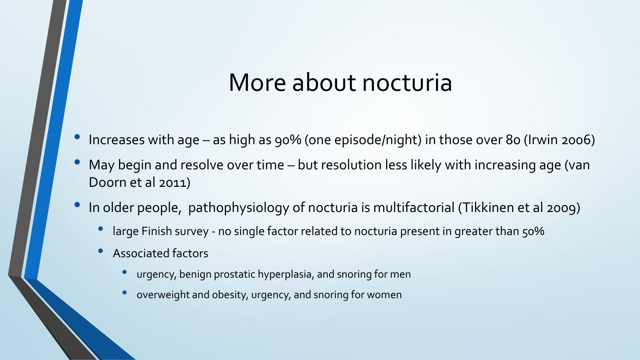## More about nocturia

- Increases with age as high as 90% (one episode/night) in those over 80 (Irwin 2006)
- May begin and resolve over time but resolution less likely with increasing age (van Doorn et al 2011)
- In older people, pathophysiology of nocturia is multifactorial (Tikkinen et al 2009)
	- large Finish survey no single factor related to nocturia present in greater than 50%
	- Associated factors
		- urgency, benign prostatic hyperplasia, and snoring for men
		- overweight and obesity, urgency, and snoring for women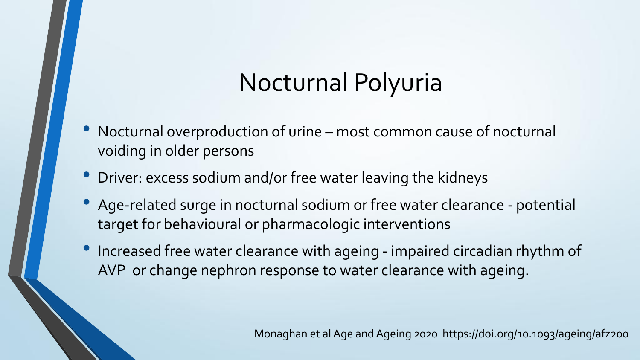## Nocturnal Polyuria

- Nocturnal overproduction of urine most common cause of nocturnal voiding in older persons
- Driver: excess sodium and/or free water leaving the kidneys
- Age-related surge in nocturnal sodium or free water clearance potential target for behavioural or pharmacologic interventions
- Increased free water clearance with ageing impaired circadian rhythm of AVP or change nephron response to water clearance with ageing.

Monaghan et al Age and Ageing 2020 https://doi.org/10.1093/ageing/afz200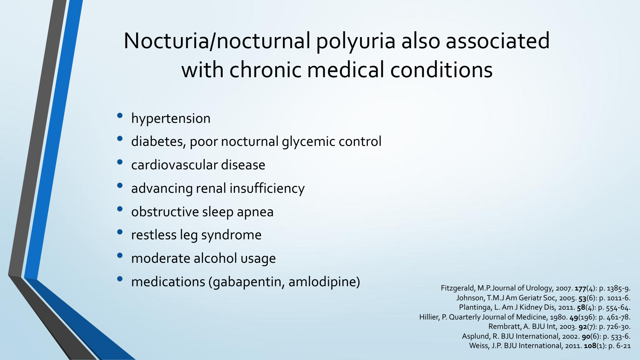## Nocturia/nocturnal polyuria also associated with chronic medical conditions

- hypertension
- diabetes, poor nocturnal glycemic control
- cardiovascular disease
- advancing renal insufficiency
- obstructive sleep apnea
- restless leg syndrome
- moderate alcohol usage
- medications (gabapentin, amlodipine) Fitzgerald, M.P.Journal of Urology, 2007. 177(4): p. 1385-9.

Johnson, T.M.J Am Geriatr Soc, 2005. **53**(6): p. 1011-6. Plantinga, L. Am J Kidney Dis, 2011. **58**(4): p. 554-64. Hillier, P. Quarterly Journal of Medicine, 1980. **49**(196): p. 461-78. Rembratt, A*.* BJU Int, 2003. **92**(7): p. 726-30. Asplund, R. BJU International, 2002. **90**(6): p. 533-6. Weiss, J.P. BJU International, 2011. **108**(1): p. 6-21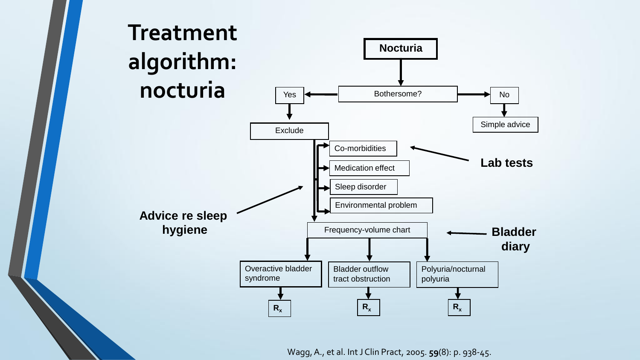

Wagg, A., et al. IntJ Clin Pract, 2005. **59**(8): p. 938-45.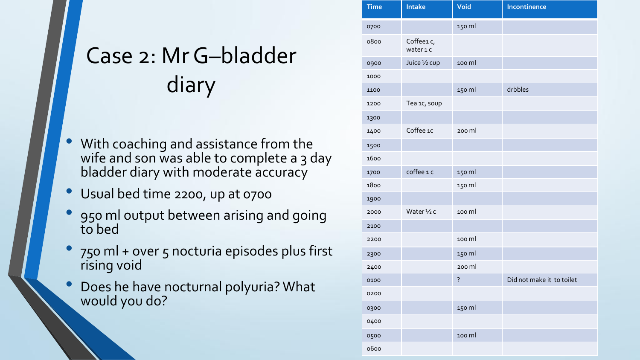## Case 2: MrG–bladder diary

- With coaching and assistance from the wife and son was able to complete a 3 day bladder diary with moderate accuracy
- Usual bed time 2200, up at 0700
- 950 ml output between arising and going to bed
- 750 ml + over 5 nocturia episodes plus first rising void
- Does he have nocturnal polyuria? What would you do?

| <b>Time</b> | <b>Intake</b>        | Void               | Incontinence              |
|-------------|----------------------|--------------------|---------------------------|
| 0700        |                      | 150 ml             |                           |
| 0800        | Coffee1c,<br>wateric |                    |                           |
| 0900        | Juice 1/2 cup        | 100 ml             |                           |
| 1000        |                      |                    |                           |
| 1100        |                      | 150 ml             | drbbles                   |
| 1200        | Tea 1c, soup         |                    |                           |
| 1300        |                      |                    |                           |
| 1400        | Coffee 1c            | 200 ml             |                           |
| 1500        |                      |                    |                           |
| 1600        |                      |                    |                           |
| 1700        | coffee 1 c           | 150 ml             |                           |
| 1800        |                      | 150 ml             |                           |
| 1900        |                      |                    |                           |
| 2000        | Water 1/2 c          | 100 ml             |                           |
| 2100        |                      |                    |                           |
| 2200        |                      | 100 ml             |                           |
| 2300        |                      | 150 ml             |                           |
| 2400        |                      | 200 ml             |                           |
| 0100        |                      | $\overline{\cdot}$ | Did not make it to toilet |
| 0200        |                      |                    |                           |
| 0300        |                      | 150 ml             |                           |
| 0400        |                      |                    |                           |
| 0500        |                      | 100 ml             |                           |
| 0600        |                      |                    |                           |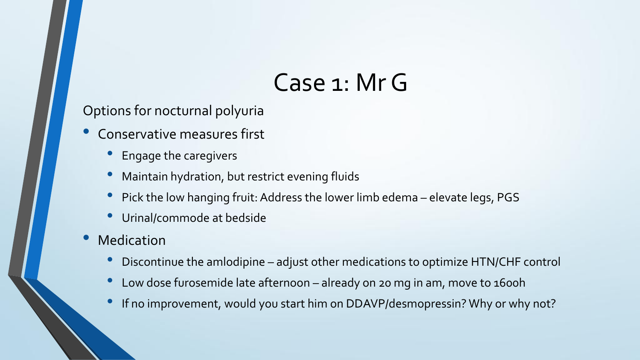## Case 1: MrG

Options for nocturnal polyuria

- Conservative measures first
	- Engage the caregivers
	- Maintain hydration, but restrict evening fluids
	- Pick the low hanging fruit: Address the lower limb edema elevate legs, PGS
	- Urinal/commode at bedside
- **Medication** 
	- Discontinue the amlodipine adjust other medications to optimize HTN/CHF control
	- Low dose furosemide late afternoon already on 20 mg in am, move to 1600h
	- If no improvement, would you start him on DDAVP/desmopressin? Why or why not?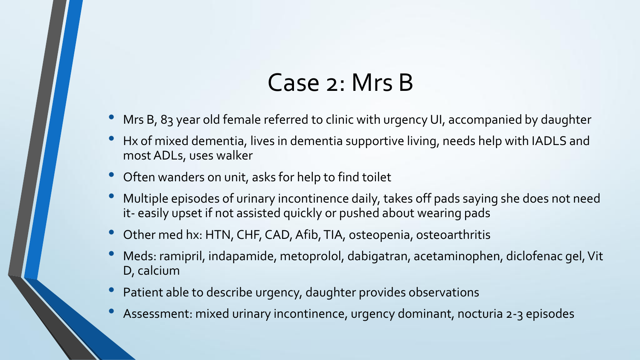## Case 2: Mrs B

- Mrs B, 83 year old female referred to clinic with urgency UI, accompanied by daughter
- Hx of mixed dementia, lives in dementia supportive living, needs help with IADLS and most ADLs, uses walker
- Often wanders on unit, asks for help to find toilet
- Multiple episodes of urinary incontinence daily, takes off pads saying she does not need it- easily upset if not assisted quickly or pushed about wearing pads
- Other med hx: HTN, CHF, CAD, Afib, TIA, osteopenia, osteoarthritis
- Meds: ramipril, indapamide, metoprolol, dabigatran, acetaminophen, diclofenac gel, Vit D, calcium
- Patient able to describe urgency, daughter provides observations
- Assessment: mixed urinary incontinence, urgency dominant, nocturia 2-3 episodes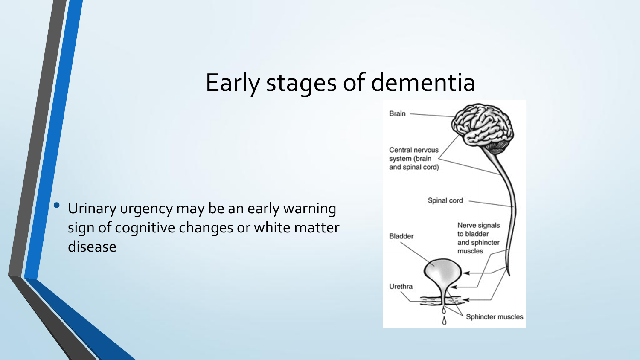## Early stages of dementia

• Urinary urgency may be an early warning sign of cognitive changes or white matter disease

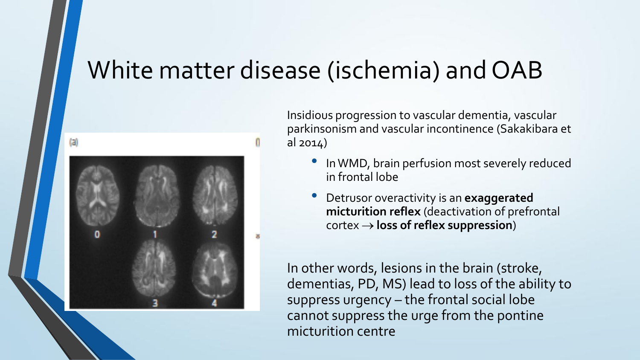## White matter disease (ischemia) and OAB





Insidious progression to vascular dementia, vascular parkinsonism and vascular incontinence (Sakakibara et al 2014)

- In WMD, brain perfusion most severely reduced in frontal lobe
- Detrusor overactivity is an **exaggerated micturition reflex** (deactivation of prefrontal cortex **loss of reflex suppression**)

In other words, lesions in the brain (stroke, dementias, PD, MS) lead to loss of the ability to suppress urgency – the frontal social lobe cannot suppress the urge from the pontine micturition centre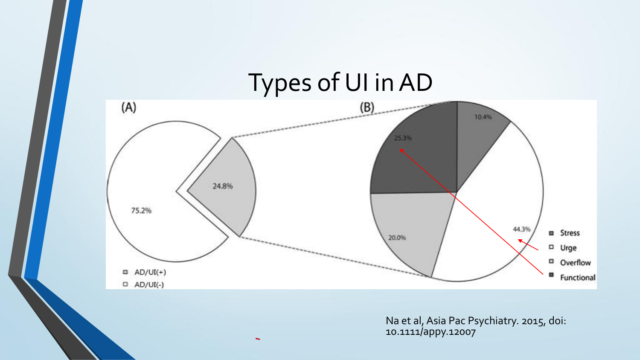

Na et al, Asia Pac Psychiatry. 2015, doi: 10.1111/appy.12007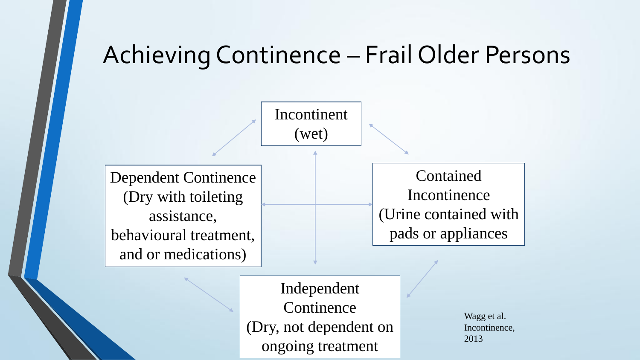## Achieving Continence – Frail Older Persons

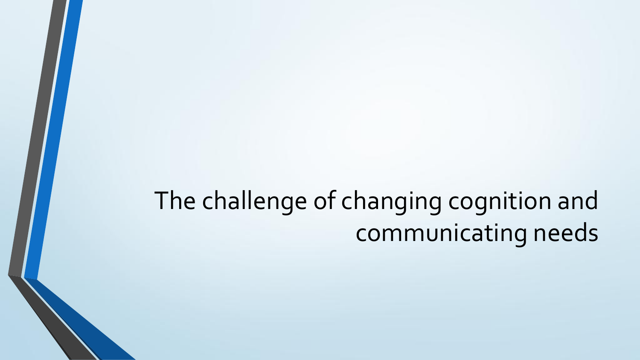## The challenge of changing cognition and communicating needs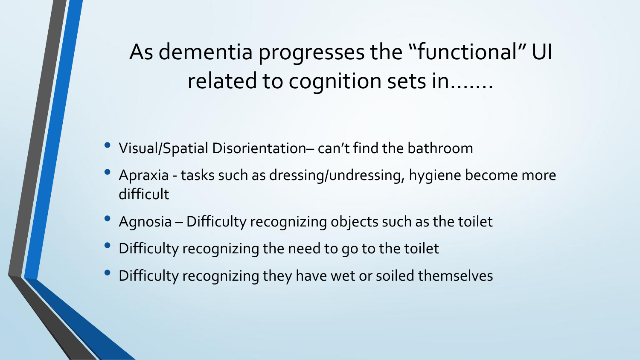As dementia progresses the "functional" UI related to cognition sets in…….

- Visual/Spatial Disorientation– can't find the bathroom
- Apraxia tasks such as dressing/undressing, hygiene become more difficult
- Agnosia Difficulty recognizing objects such as the toilet
- Difficulty recognizing the need to go to the toilet
- Difficulty recognizing they have wet or soiled themselves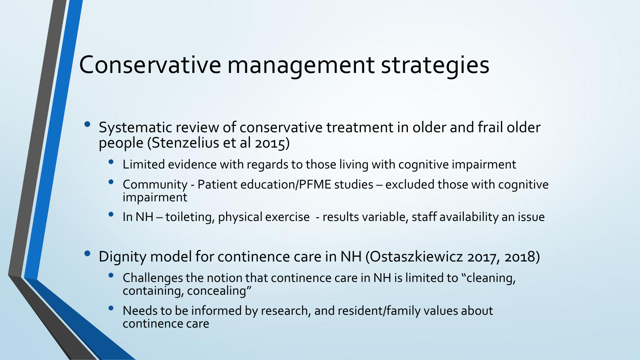## Conservative management strategies

- Systematic review of conservative treatment in older and frail older people (Stenzelius et al 2015)
	- Limited evidence with regards to those living with cognitive impairment
	- Community Patient education/PFME studies excluded those with cognitive impairment
	- In NH toileting, physical exercise results variable, staff availability an issue
- Dignity model for continence care in NH (Ostaszkiewicz 2017, 2018)
	- Challenges the notion that continence care in NH is limited to "cleaning, containing, concealing"
	- Needs to be informed by research, and resident/family values about continence care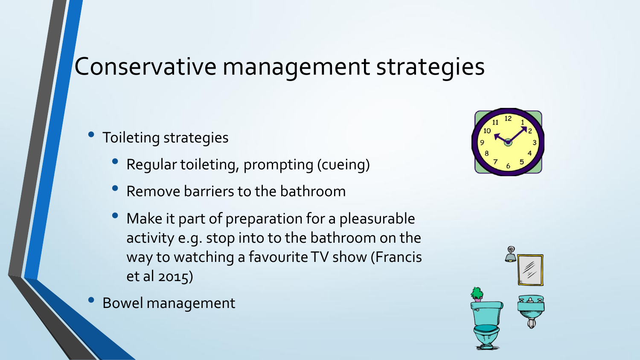## Conservative management strategies

- Toileting strategies
	- Regular toileting, prompting (cueing)
	- Remove barriers to the bathroom
	- Make it part of preparation for a pleasurable activity e.g. stop into to the bathroom on the way to watching a favourite TV show (Francis et al 2015)
- Bowel management



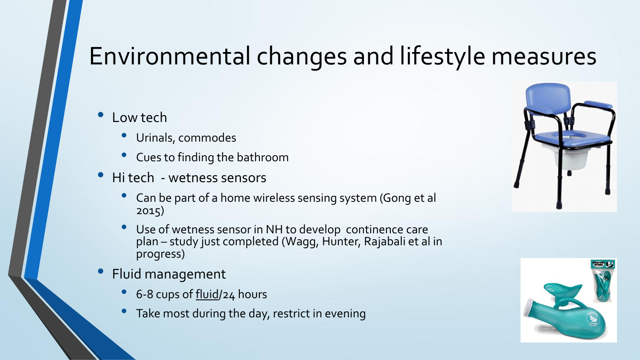## Environmental changes and lifestyle measures

### • Low tech

- Urinals, commodes
- Cues to finding the bathroom
- Hi tech wetness sensors
	- Can be part of a home wireless sensing system (Gong et al 2015)
	- Use of wetness sensor in NH to develop continence care plan – study just completed (Wagg, Hunter, Rajabali et al in progress)
- Fluid management
	- 6-8 cups of fluid/24 hours
	- Take most during the day, restrict in evening



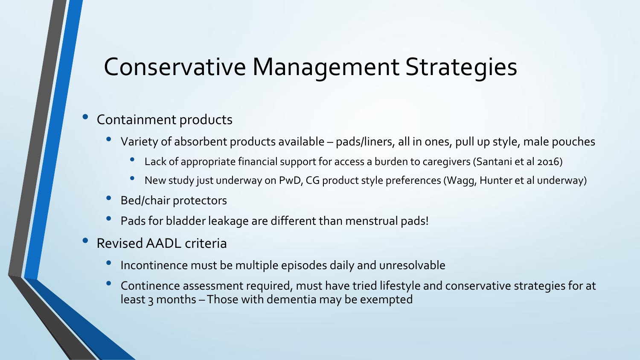## Conservative Management Strategies

### • Containment products

- Variety of absorbent products available pads/liners, all in ones, pull up style, male pouches
	- Lack of appropriate financial support for access a burden to caregivers (Santani et al 2016)
	- New study just underway on PwD, CG product style preferences (Wagg, Hunter et al underway)
- Bed/chair protectors
- Pads for bladder leakage are different than menstrual pads!
- Revised AADL criteria
	- Incontinence must be multiple episodes daily and unresolvable
	- Continence assessment required, must have tried lifestyle and conservative strategies for at least 3 months –Those with dementia may be exempted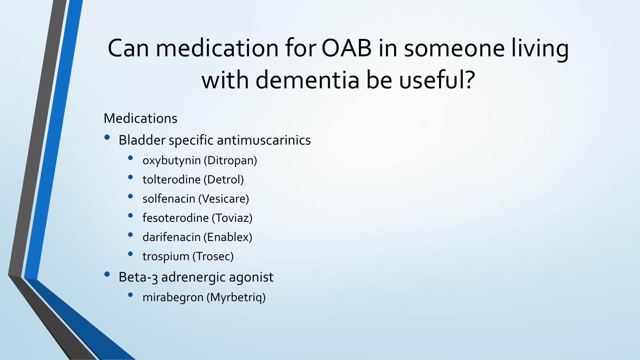## Can medication for OAB in someone living with dementia be useful?

### Medications

- Bladder specific antimuscarinics
	- oxybutynin (Ditropan)
	- tolterodine (Detrol)
	- solfenacin (Vesicare)
	- fesoterodine (Toviaz)
	- darifenacin (Enablex)
	- trospium (Trosec)
- Beta-3 adrenergic agonist
	- mirabegron (Myrbetriq)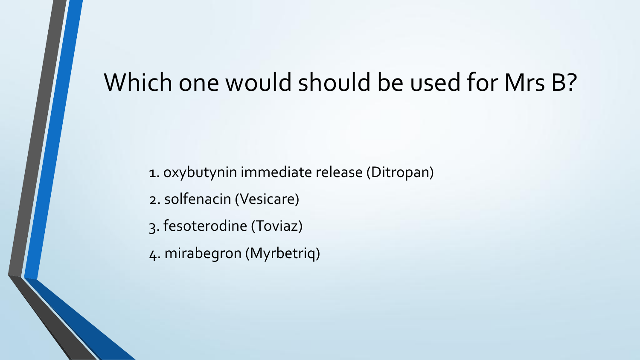## Which one would should be used for Mrs B?

- 1. oxybutynin immediate release (Ditropan)
- 2. solfenacin (Vesicare)
- 3. fesoterodine (Toviaz)
- 4. mirabegron (Myrbetriq)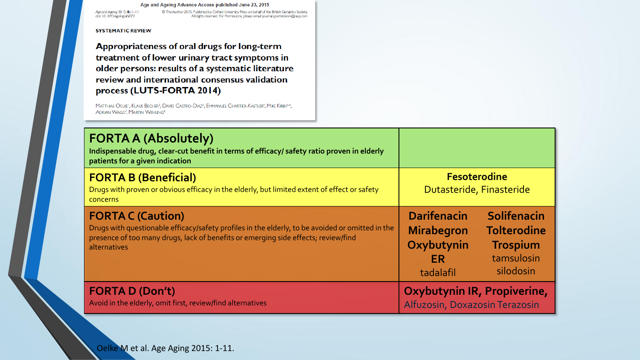#### Age and Ageing Advance Access published June 23, 2015

Age and Ageing 2015; 0: 1-11<br>doi: 10.1093/ageing/afv077

C The Author 2015. Published by Oxford University Press on behalf of the British Geriatrics Society. All rights reserved. For Permissions, please email: journal spermissions@oup.com

### **SYSTEMATIC REVIEW**

Appropriateness of oral drugs for long-term treatment of lower urinary tract symptoms in older persons: results of a systematic literature review and international consensus validation process (LUTS-FORTA 2014)

MATTHIAS OELKE<sup>1</sup>, KLAUS BECHER<sup>2</sup>, DAVID CASTRO-DIAZ<sup>3</sup>, EMMANUEL CHARTIER-KASTLER<sup>4</sup>, MIKE KIRBY<sup>5,6</sup>, ADRIAN WAGG<sup>7</sup>, MARTIN WEHLING<sup>8</sup>

| <b>FORTA A (Absolutely)</b><br>Indispensable drug, clear-cut benefit in terms of efficacy/ safety ratio proven in elderly<br>patients for a given indication                                                                       |                                                                           |                                                                                 |
|------------------------------------------------------------------------------------------------------------------------------------------------------------------------------------------------------------------------------------|---------------------------------------------------------------------------|---------------------------------------------------------------------------------|
| <b>FORTA B (Beneficial)</b><br>Drugs with proven or obvious efficacy in the elderly, but limited extent of effect or safety<br>concerns                                                                                            | <b>Fesoterodine</b><br>Dutasteride, Finasteride                           |                                                                                 |
| <b>FORTA C (Caution)</b><br>Drugs with questionable efficacy/safety profiles in the elderly, to be avoided or omitted in the<br>presence of too many drugs, lack of benefits or emerging side effects; review/find<br>alternatives | <b>Darifenacin</b><br><b>Mirabegron</b><br>Oxybutynin<br>ER.<br>tadalafil | Solifenacin<br><b>Tolterodine</b><br><b>Trospium</b><br>tamsulosin<br>silodosin |
| <b>FORTA D (Don't)</b><br>Avoid in the elderly, omit first, review/find alternatives                                                                                                                                               | Oxybutynin IR, Propiverine,<br>Alfuzosin, Doxazosin Terazosin             |                                                                                 |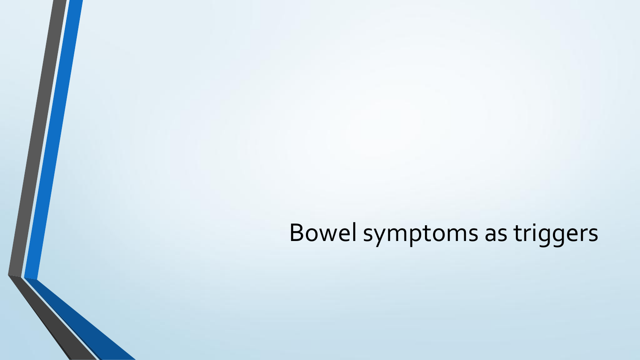Bowel symptoms as triggers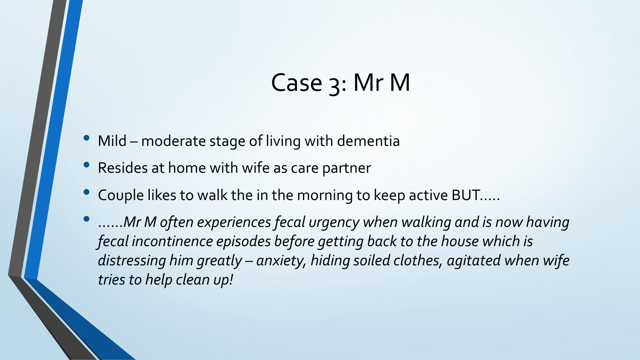## Case 3: Mr M

- Mild moderate stage of living with dementia
- Resides at home with wife as care partner
- Couple likes to walk the in the morning to keep active BUT…..
- ……*Mr M often experiences fecal urgency when walking and is now having fecal incontinence episodes before getting back to the house which is distressing him greatly – anxiety, hiding soiled clothes, agitated when wife tries to help clean up!*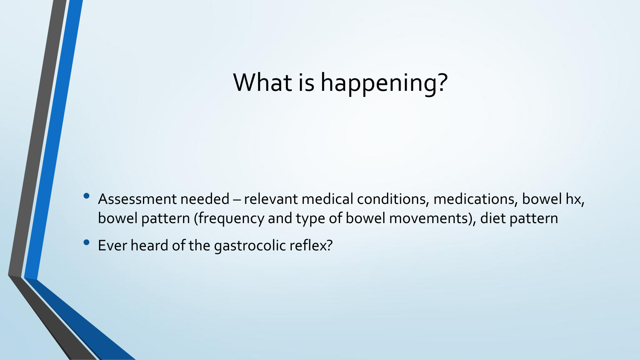## What is happening?

- Assessment needed relevant medical conditions, medications, bowel hx, bowel pattern (frequency and type of bowel movements), diet pattern
- Ever heard of the gastrocolic reflex?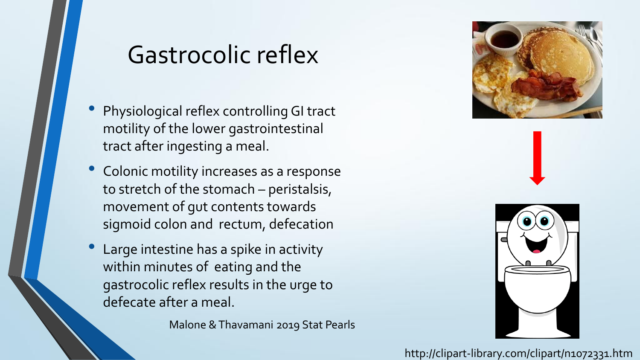## Gastrocolic reflex

- Physiological reflex controlling GI tract motility of the lower gastrointestinal tract after ingesting a meal.
- Colonic motility increases as a response to stretch of the stomach – peristalsis, movement of gut contents towards sigmoid colon and rectum, defecation
- Large intestine has a spike in activity within minutes of eating and the gastrocolic reflex results in the urge to defecate after a meal.

Malone & Thavamani 2019 Stat Pearls





http://clipart-library.com/clipart/n1072331.htm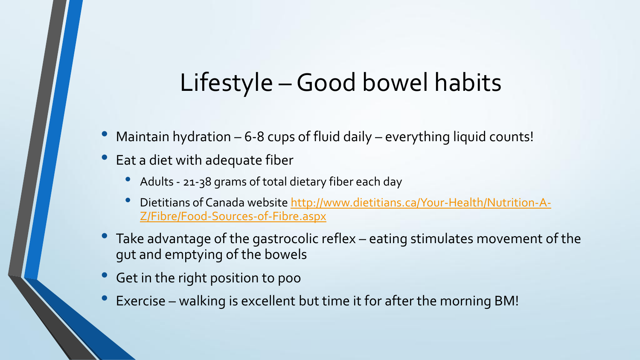## Lifestyle –Good bowel habits

- Maintain hydration  $-6$ -8 cups of fluid daily  $-$  everything liquid counts!
- Eat a diet with adequate fiber
	- Adults 21-38 grams of total dietary fiber each day
	- Dietitians of Canada website [http://www.dietitians.ca/Your-Health/Nutrition-A-](http://www.dietitians.ca/Your-Health/Nutrition-A-Z/Fibre/Food-Sources-of-Fibre.aspx)[Z/Fibre/Food-Sources-of-Fibre.aspx](http://www.dietitians.ca/Your-Health/Nutrition-A-Z/Fibre/Food-Sources-of-Fibre.aspx)
- Take advantage of the gastrocolic reflex eating stimulates movement of the gut and emptying of the bowels
- Get in the right position to poo
- Exercise walking is excellent but time it for after the morning BM!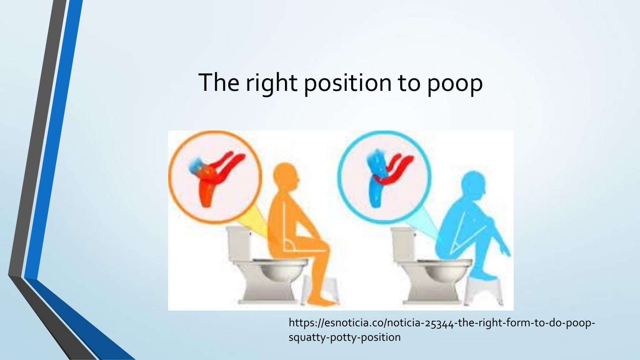## The right position to poop



https://esnoticia.co/noticia-25344-the-right-form-to-do-poopsquatty-potty-position